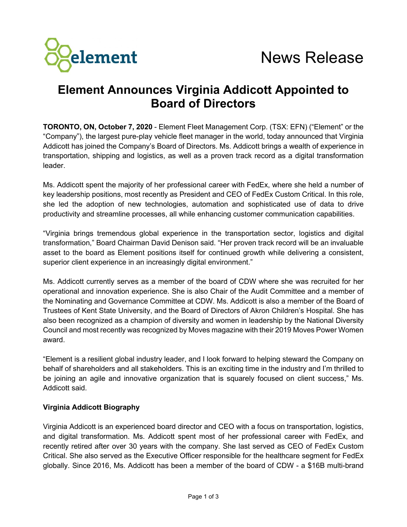

## **Element Announces Virginia Addicott Appointed to Board of Directors**

**TORONTO, ON, October 7, 2020** - Element Fleet Management Corp. (TSX: EFN) ("Element" or the "Company"), the largest pure-play vehicle fleet manager in the world, today announced that Virginia Addicott has joined the Company's Board of Directors. Ms. Addicott brings a wealth of experience in transportation, shipping and logistics, as well as a proven track record as a digital transformation leader.

Ms. Addicott spent the majority of her professional career with FedEx, where she held a number of key leadership positions, most recently as President and CEO of FedEx Custom Critical. In this role, she led the adoption of new technologies, automation and sophisticated use of data to drive productivity and streamline processes, all while enhancing customer communication capabilities.

"Virginia brings tremendous global experience in the transportation sector, logistics and digital transformation," Board Chairman David Denison said. "Her proven track record will be an invaluable asset to the board as Element positions itself for continued growth while delivering a consistent, superior client experience in an increasingly digital environment."

Ms. Addicott currently serves as a member of the board of CDW where she was recruited for her operational and innovation experience. She is also Chair of the Audit Committee and a member of the Nominating and Governance Committee at CDW. Ms. Addicott is also a member of the Board of Trustees of Kent State University, and the Board of Directors of Akron Children's Hospital. She has also been recognized as a champion of diversity and women in leadership by the National Diversity Council and most recently was recognized by Moves magazine with their 2019 Moves Power Women award.

"Element is a resilient global industry leader, and I look forward to helping steward the Company on behalf of shareholders and all stakeholders. This is an exciting time in the industry and I'm thrilled to be joining an agile and innovative organization that is squarely focused on client success," Ms. Addicott said.

## **Virginia Addicott Biography**

Virginia Addicott is an experienced board director and CEO with a focus on transportation, logistics, and digital transformation. Ms. Addicott spent most of her professional career with FedEx, and recently retired after over 30 years with the company. She last served as CEO of FedEx Custom Critical. She also served as the Executive Officer responsible for the healthcare segment for FedEx globally. Since 2016, Ms. Addicott has been a member of the board of CDW - a \$16B multi-brand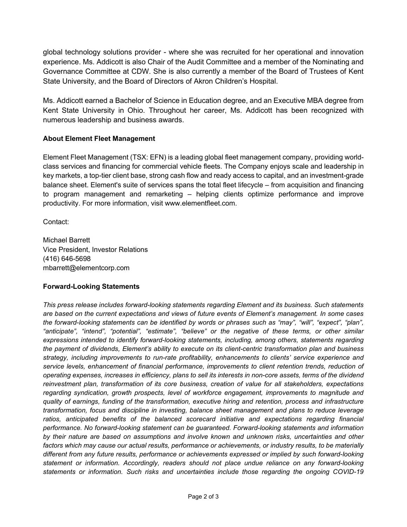global technology solutions provider - where she was recruited for her operational and innovation experience. Ms. Addicott is also Chair of the Audit Committee and a member of the Nominating and Governance Committee at CDW. She is also currently a member of the Board of Trustees of Kent State University, and the Board of Directors of Akron Children's Hospital.

Ms. Addicott earned a Bachelor of Science in Education degree, and an Executive MBA degree from Kent State University in Ohio. Throughout her career, Ms. Addicott has been recognized with numerous leadership and business awards.

## **About Element Fleet Management**

Element Fleet Management (TSX: EFN) is a leading global fleet management company, providing worldclass services and financing for commercial vehicle fleets. The Company enjoys scale and leadership in key markets, a top-tier client base, strong cash flow and ready access to capital, and an investment-grade balance sheet. Element's suite of services spans the total fleet lifecycle – from acquisition and financing to program management and remarketing – helping clients optimize performance and improve productivity. For more information, visit www.elementfleet.com.

Contact:

Michael Barrett Vice President, Investor Relations (416) 646-5698 mbarrett@elementcorp.com

## **Forward-Looking Statements**

*This press release includes forward-looking statements regarding Element and its business. Such statements are based on the current expectations and views of future events of Element's management. In some cases the forward-looking statements can be identified by words or phrases such as "may", "will", "expect", "plan", "anticipate", "intend", "potential", "estimate", "believe" or the negative of these terms, or other similar expressions intended to identify forward-looking statements, including, among others, statements regarding the payment of dividends, Element's ability to execute on its client-centric transformation plan and business strategy, including improvements to run-rate profitability, enhancements to clients' service experience and service levels, enhancement of financial performance, improvements to client retention trends, reduction of operating expenses, increases in efficiency, plans to sell its interests in non-core assets, terms of the dividend reinvestment plan, transformation of its core business, creation of value for all stakeholders, expectations regarding syndication, growth prospects, level of workforce engagement, improvements to magnitude and quality of earnings, funding of the transformation, executive hiring and retention, process and infrastructure transformation, focus and discipline in investing, balance sheet management and plans to reduce leverage*  ratios, anticipated benefits of the balanced scorecard initiative and expectations regarding financial *performance. No forward-looking statement can be guaranteed. Forward-looking statements and information by their nature are based on assumptions and involve known and unknown risks, uncertainties and other factors which may cause our actual results, performance or achievements, or industry results, to be materially different from any future results, performance or achievements expressed or implied by such forward-looking statement or information. Accordingly, readers should not place undue reliance on any forward-looking statements or information. Such risks and uncertainties include those regarding the ongoing COVID-19*